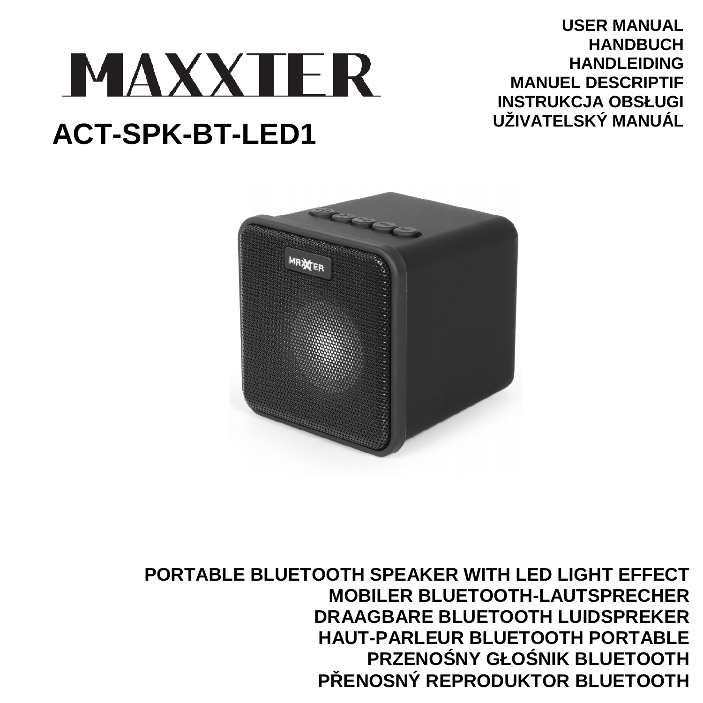# **MAXXTER UŽIVATELSKÝ MANUÁL ACT-SPK-BT-LED1**

**USER MANUAL HANDBUCH HANDLEIDING MANUEL DESCRIPTIF INSTRUKCJA OBSŁUGI**



**PORTABLE BLUETOOTH SPEAKER WITH LED LIGHT EFFECT MOBILER BLUETOOTH-LAUTSPRECHER DRAAGBARE BLUETOOTH LUIDSPREKER HAUT-PARLEUR BLUETOOTH PORTABLE PRZENO NY GŁO NIK BLUETOOTH P ENOSNÝ REPRODUKTOR BLUETOOTH**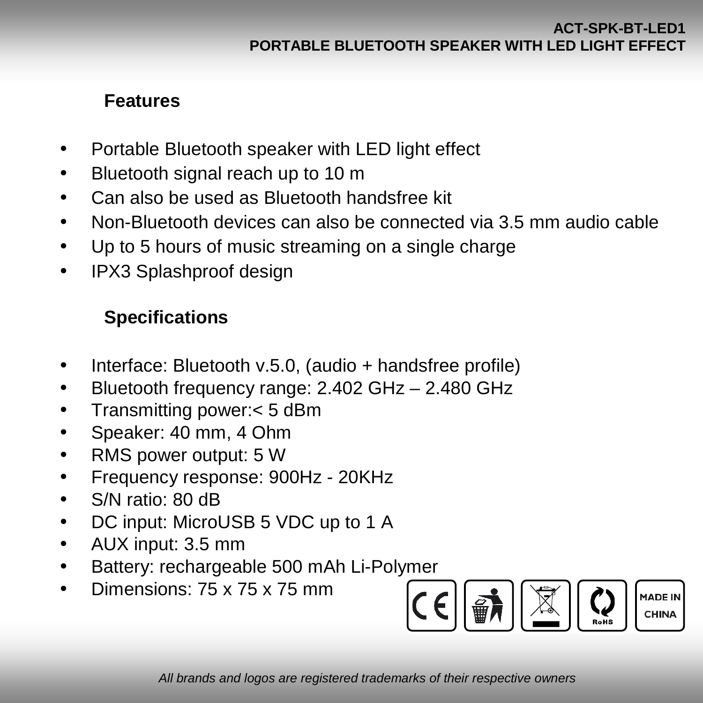## **Features**

- Portable Bluetooth speaker with LED light effect
- Bluetooth signal reach up to 10 m
- Can also be used as Bluetooth handsfree kit
- Non-Bluetooth devices can also be connected via 3.5 mm audio cable
- Up to 5 hours of music streaming on a single charge
- IPX3 Splashproof design

# **Specifications**

- $\bullet$  Interface: Bluetooth v.5.0, (audio + handsfree profile)
- Bluetooth frequency range: 2.402 GHz 2.480 GHz
- Transmitting power: < 5 dBm
- Speaker: 40 mm, 4 Ohm
- RMS power output: 5 W
- Frequency response: 900Hz 20KHz
- S/N ratio: 80 dB
- DC input: MicroUSB 5 VDC up to 1 A
- AUX input: 3.5 mm
- Battery: rechargeable 500 mAh Li-Polymer
- Dimensions: 75 x 75 x 75 mm



MADE IN CHINA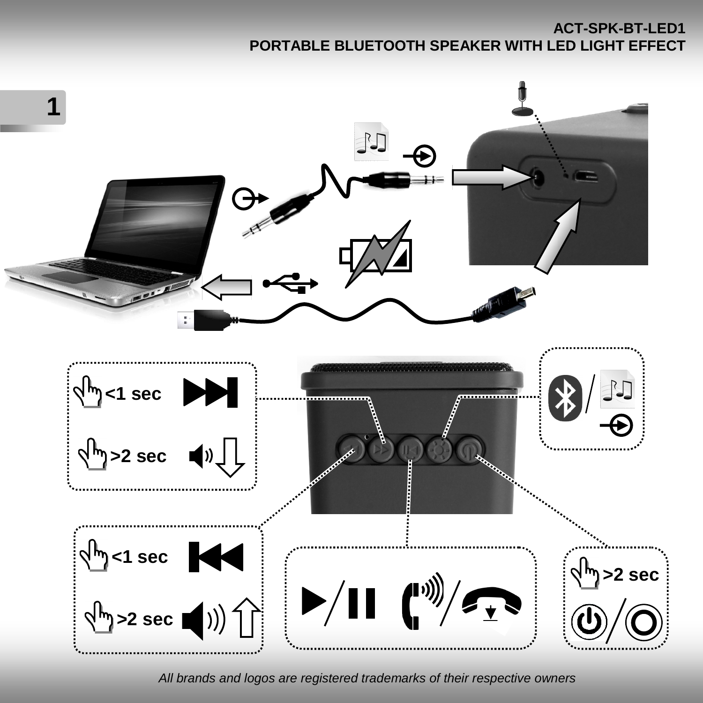

*All brands and logos are registered trademarks of their respective owners*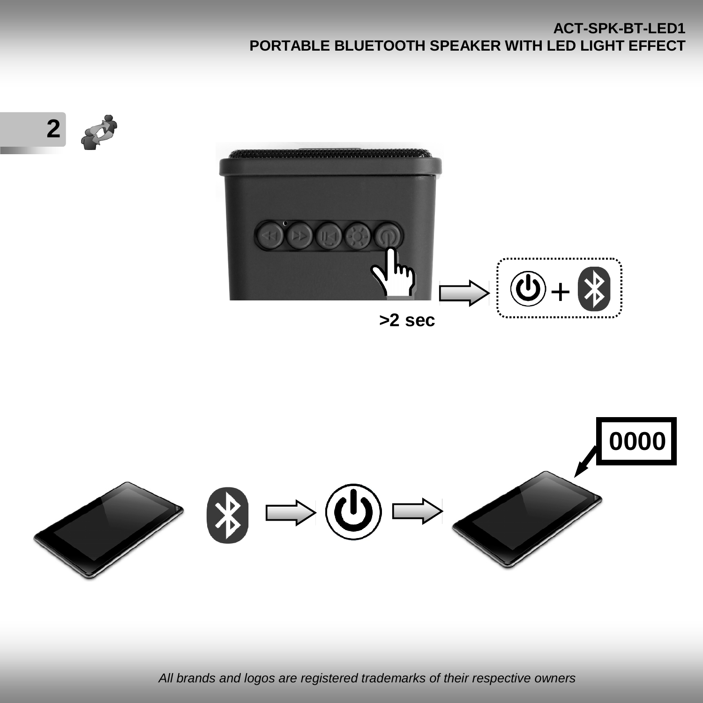



**>2 sec**

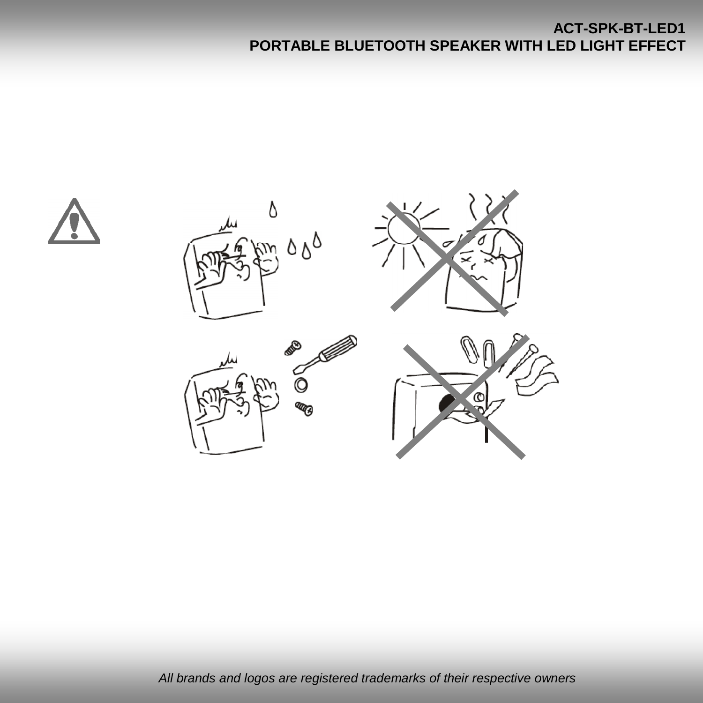

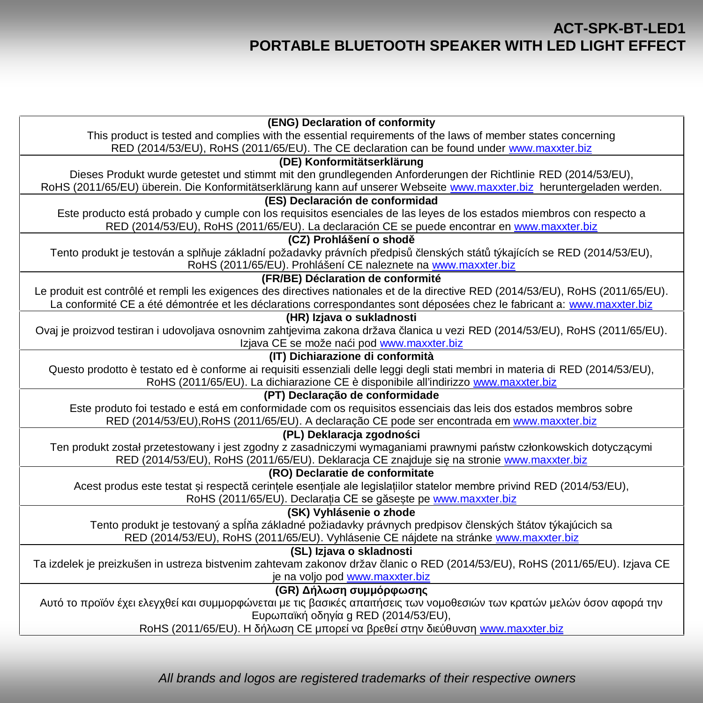|                                                                                                                                   |                                                                                              | (ENG) Declaration of conformity                                                    |                 |  |  |  |  |
|-----------------------------------------------------------------------------------------------------------------------------------|----------------------------------------------------------------------------------------------|------------------------------------------------------------------------------------|-----------------|--|--|--|--|
| This product is tested and complies with the essential requirements of the laws of member states concerning                       |                                                                                              |                                                                                    |                 |  |  |  |  |
| RED (2014/53/EU), RoHS (2011/65/EU). The CE declaration can be found under www.maxxter.biz                                        |                                                                                              |                                                                                    |                 |  |  |  |  |
|                                                                                                                                   |                                                                                              | (DE) Konformitätserklärung                                                         |                 |  |  |  |  |
| Dieses Produkt wurde getestet und stimmt mit den grundlegenden Anforderungen der Richtlinie RED (2014/53/EU),                     |                                                                                              |                                                                                    |                 |  |  |  |  |
| RoHS (2011/65/EU) überein. Die Konformitätserklärung kann auf unserer Webseite www.maxxter.biz heruntergeladen werden.            |                                                                                              |                                                                                    |                 |  |  |  |  |
|                                                                                                                                   |                                                                                              | (ES) Declaración de conformidad                                                    |                 |  |  |  |  |
| Este producto está probado y cumple con los requisitos esenciales de las leyes de los estados miembros con respecto a             |                                                                                              |                                                                                    |                 |  |  |  |  |
|                                                                                                                                   | RED (2014/53/EU), RoHS (2011/65/EU). La declaración CE se puede encontrar en www.maxxter.biz |                                                                                    |                 |  |  |  |  |
|                                                                                                                                   |                                                                                              | (CZ) Prohlášení o shod                                                             |                 |  |  |  |  |
| Tento produkt je testován a spl uje základní požadavky právních p edpis lenských stát týkajících se RED (2014/53/EU),             |                                                                                              |                                                                                    |                 |  |  |  |  |
|                                                                                                                                   |                                                                                              | RoHS (2011/65/EU). Prohlášení CE naleznete na www.maxxter.biz                      |                 |  |  |  |  |
|                                                                                                                                   |                                                                                              | (FR/BE) Déclaration de conformité                                                  |                 |  |  |  |  |
| Le produit est contrôlé et rempli les exigences des directives nationales et de la directive RED (2014/53/EU), RoHS (2011/65/EU). |                                                                                              |                                                                                    |                 |  |  |  |  |
| La conformité CE a été démontrée et les déclarations correspondantes sont déposées chez le fabricant a: www.maxxter.biz           |                                                                                              |                                                                                    |                 |  |  |  |  |
|                                                                                                                                   |                                                                                              | (HR) Izjava o sukladnosti                                                          |                 |  |  |  |  |
| Ovaj je proizvod testiran i udovoljava osnovnim zahtjevima zakona država lanica u vezi RED (2014/53/EU), RoHS (2011/65/EU).       |                                                                                              |                                                                                    |                 |  |  |  |  |
|                                                                                                                                   |                                                                                              | Izjava CE se može na i pod www.maxxter.biz                                         |                 |  |  |  |  |
|                                                                                                                                   |                                                                                              | (IT) Dichiarazione di conformità                                                   |                 |  |  |  |  |
| Questo prodotto è testato ed è conforme ai requisiti essenziali delle leggi degli stati membri in materia di RED (2014/53/EU),    |                                                                                              |                                                                                    |                 |  |  |  |  |
|                                                                                                                                   |                                                                                              | RoHS (2011/65/EU). La dichiarazione CE è disponibile all'indirizzo www.maxxter.biz |                 |  |  |  |  |
|                                                                                                                                   |                                                                                              | (PT) Declaração de conformidade                                                    |                 |  |  |  |  |
| Este produto foi testado e está em conformidade com os requisitos essenciais das leis dos estados membros sobre                   |                                                                                              |                                                                                    |                 |  |  |  |  |
| RED (2014/53/EU), RoHS (2011/65/EU). A declaração CE pode ser encontrada em www.maxxter.biz                                       |                                                                                              |                                                                                    |                 |  |  |  |  |
|                                                                                                                                   |                                                                                              | (PL) Deklaracja zgodno ci                                                          |                 |  |  |  |  |
| Ten produkt został przetestowany i jest zgodny z zasadniczymi wymaganiami prawnymi pa stw członkowskich dotycz cymi               |                                                                                              |                                                                                    |                 |  |  |  |  |
| RED (2014/53/EU), RoHS (2011/65/EU). Deklaracja CE znajduje si na stronie www.maxxter.biz                                         |                                                                                              |                                                                                    |                 |  |  |  |  |
|                                                                                                                                   |                                                                                              | (RO) Declaratie de conformitate                                                    |                 |  |  |  |  |
| Acest produs este testat i respect cerintele esentiale ale legislatiilor statelor membre privind RED (2014/53/EU),                |                                                                                              |                                                                                    |                 |  |  |  |  |
|                                                                                                                                   |                                                                                              | RoHS (2011/65/EU). Declaratia CE se g se te pe www.maxxter.biz                     |                 |  |  |  |  |
|                                                                                                                                   |                                                                                              | (SK) Vyhlásenie o zhode                                                            |                 |  |  |  |  |
| Tento produkt je testovaný a sp a základné požiadavky právnych predpisov lenských štátov týkajúcich sa                            |                                                                                              |                                                                                    |                 |  |  |  |  |
| RED (2014/53/EU), RoHS (2011/65/EU). Vyhlásenie CE nájdete na stránke www.maxxter.biz                                             |                                                                                              |                                                                                    |                 |  |  |  |  |
|                                                                                                                                   |                                                                                              | (SL) Izjava o skladnosti                                                           |                 |  |  |  |  |
| Ta izdelek je preizkušen in ustreza bistvenim zahtevam zakonov držav lanic o RED (2014/53/EU), RoHS (2011/65/EU). Izjava CE       |                                                                                              |                                                                                    |                 |  |  |  |  |
|                                                                                                                                   |                                                                                              | je na voljo pod www.maxxter.biz                                                    |                 |  |  |  |  |
|                                                                                                                                   | (GR)                                                                                         | μμ                                                                                 |                 |  |  |  |  |
| $\mu\mu$                                                                                                                          | μ                                                                                            |                                                                                    | μ               |  |  |  |  |
|                                                                                                                                   |                                                                                              | q RED (2014/53/EU),                                                                |                 |  |  |  |  |
|                                                                                                                                   | CE <sub>µ</sub>                                                                              |                                                                                    |                 |  |  |  |  |
| RoHS (2011/65/EU).                                                                                                                |                                                                                              |                                                                                    | www.maxxter.biz |  |  |  |  |